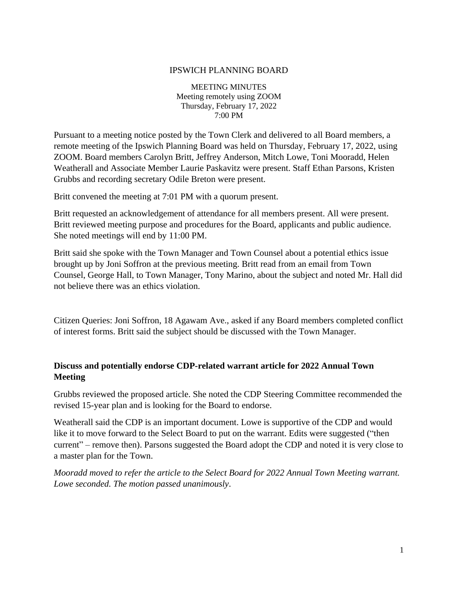#### IPSWICH PLANNING BOARD

MEETING MINUTES Meeting remotely using ZOOM Thursday, February 17, 2022 7:00 PM

Pursuant to a meeting notice posted by the Town Clerk and delivered to all Board members, a remote meeting of the Ipswich Planning Board was held on Thursday, February 17, 2022, using ZOOM. Board members Carolyn Britt, Jeffrey Anderson, Mitch Lowe, Toni Mooradd, Helen Weatherall and Associate Member Laurie Paskavitz were present. Staff Ethan Parsons, Kristen Grubbs and recording secretary Odile Breton were present.

Britt convened the meeting at 7:01 PM with a quorum present.

Britt requested an acknowledgement of attendance for all members present. All were present. Britt reviewed meeting purpose and procedures for the Board, applicants and public audience. She noted meetings will end by 11:00 PM.

Britt said she spoke with the Town Manager and Town Counsel about a potential ethics issue brought up by Joni Soffron at the previous meeting. Britt read from an email from Town Counsel, George Hall, to Town Manager, Tony Marino, about the subject and noted Mr. Hall did not believe there was an ethics violation.

Citizen Queries: Joni Soffron, 18 Agawam Ave., asked if any Board members completed conflict of interest forms. Britt said the subject should be discussed with the Town Manager.

## **Discuss and potentially endorse CDP-related warrant article for 2022 Annual Town Meeting**

Grubbs reviewed the proposed article. She noted the CDP Steering Committee recommended the revised 15-year plan and is looking for the Board to endorse.

Weatherall said the CDP is an important document. Lowe is supportive of the CDP and would like it to move forward to the Select Board to put on the warrant. Edits were suggested ("then current" – remove then). Parsons suggested the Board adopt the CDP and noted it is very close to a master plan for the Town.

*Mooradd moved to refer the article to the Select Board for 2022 Annual Town Meeting warrant. Lowe seconded. The motion passed unanimously*.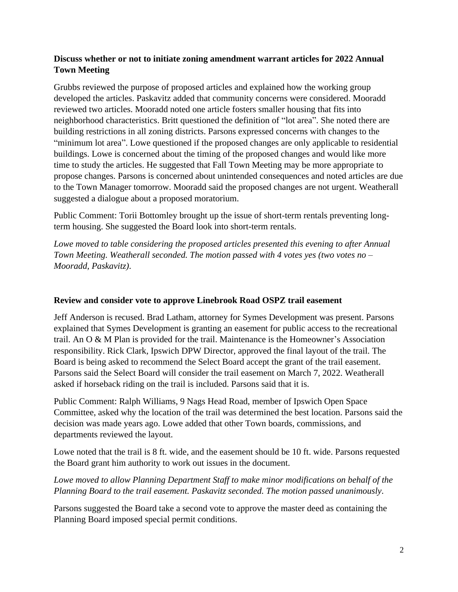# **Discuss whether or not to initiate zoning amendment warrant articles for 2022 Annual Town Meeting**

Grubbs reviewed the purpose of proposed articles and explained how the working group developed the articles. Paskavitz added that community concerns were considered. Mooradd reviewed two articles. Mooradd noted one article fosters smaller housing that fits into neighborhood characteristics. Britt questioned the definition of "lot area". She noted there are building restrictions in all zoning districts. Parsons expressed concerns with changes to the "minimum lot area". Lowe questioned if the proposed changes are only applicable to residential buildings. Lowe is concerned about the timing of the proposed changes and would like more time to study the articles. He suggested that Fall Town Meeting may be more appropriate to propose changes. Parsons is concerned about unintended consequences and noted articles are due to the Town Manager tomorrow. Mooradd said the proposed changes are not urgent. Weatherall suggested a dialogue about a proposed moratorium.

Public Comment: Torii Bottomley brought up the issue of short-term rentals preventing longterm housing. She suggested the Board look into short-term rentals.

*Lowe moved to table considering the proposed articles presented this evening to after Annual Town Meeting. Weatherall seconded. The motion passed with 4 votes yes (two votes no – Mooradd, Paskavitz)*.

### **Review and consider vote to approve Linebrook Road OSPZ trail easement**

Jeff Anderson is recused. Brad Latham, attorney for Symes Development was present. Parsons explained that Symes Development is granting an easement for public access to the recreational trail. An O & M Plan is provided for the trail. Maintenance is the Homeowner's Association responsibility. Rick Clark, Ipswich DPW Director, approved the final layout of the trail. The Board is being asked to recommend the Select Board accept the grant of the trail easement. Parsons said the Select Board will consider the trail easement on March 7, 2022. Weatherall asked if horseback riding on the trail is included. Parsons said that it is.

Public Comment: Ralph Williams, 9 Nags Head Road, member of Ipswich Open Space Committee, asked why the location of the trail was determined the best location. Parsons said the decision was made years ago. Lowe added that other Town boards, commissions, and departments reviewed the layout.

Lowe noted that the trail is 8 ft. wide, and the easement should be 10 ft. wide. Parsons requested the Board grant him authority to work out issues in the document.

# *Lowe moved to allow Planning Department Staff to make minor modifications on behalf of the Planning Board to the trail easement. Paskavitz seconded. The motion passed unanimously*.

Parsons suggested the Board take a second vote to approve the master deed as containing the Planning Board imposed special permit conditions.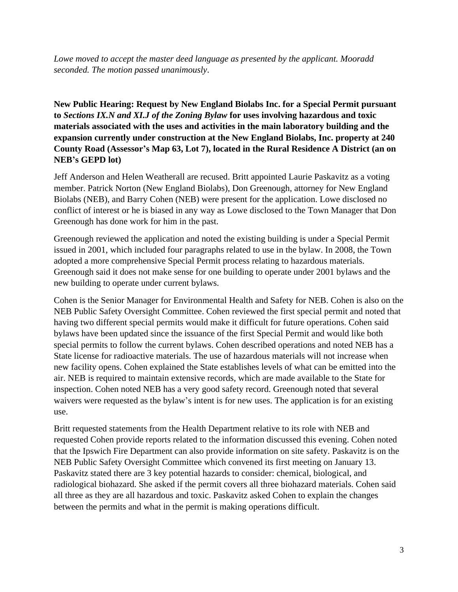*Lowe moved to accept the master deed language as presented by the applicant. Mooradd seconded. The motion passed unanimously*.

**New Public Hearing: Request by New England Biolabs Inc. for a Special Permit pursuant to** *Sections IX.N and XI.J of the Zoning Bylaw* **for uses involving hazardous and toxic materials associated with the uses and activities in the main laboratory building and the expansion currently under construction at the New England Biolabs, Inc. property at 240 County Road (Assessor's Map 63, Lot 7), located in the Rural Residence A District (an on NEB's GEPD lot)**

Jeff Anderson and Helen Weatherall are recused. Britt appointed Laurie Paskavitz as a voting member. Patrick Norton (New England Biolabs), Don Greenough, attorney for New England Biolabs (NEB), and Barry Cohen (NEB) were present for the application. Lowe disclosed no conflict of interest or he is biased in any way as Lowe disclosed to the Town Manager that Don Greenough has done work for him in the past.

Greenough reviewed the application and noted the existing building is under a Special Permit issued in 2001, which included four paragraphs related to use in the bylaw. In 2008, the Town adopted a more comprehensive Special Permit process relating to hazardous materials. Greenough said it does not make sense for one building to operate under 2001 bylaws and the new building to operate under current bylaws.

Cohen is the Senior Manager for Environmental Health and Safety for NEB. Cohen is also on the NEB Public Safety Oversight Committee. Cohen reviewed the first special permit and noted that having two different special permits would make it difficult for future operations. Cohen said bylaws have been updated since the issuance of the first Special Permit and would like both special permits to follow the current bylaws. Cohen described operations and noted NEB has a State license for radioactive materials. The use of hazardous materials will not increase when new facility opens. Cohen explained the State establishes levels of what can be emitted into the air. NEB is required to maintain extensive records, which are made available to the State for inspection. Cohen noted NEB has a very good safety record. Greenough noted that several waivers were requested as the bylaw's intent is for new uses. The application is for an existing use.

Britt requested statements from the Health Department relative to its role with NEB and requested Cohen provide reports related to the information discussed this evening. Cohen noted that the Ipswich Fire Department can also provide information on site safety. Paskavitz is on the NEB Public Safety Oversight Committee which convened its first meeting on January 13. Paskavitz stated there are 3 key potential hazards to consider: chemical, biological, and radiological biohazard. She asked if the permit covers all three biohazard materials. Cohen said all three as they are all hazardous and toxic. Paskavitz asked Cohen to explain the changes between the permits and what in the permit is making operations difficult.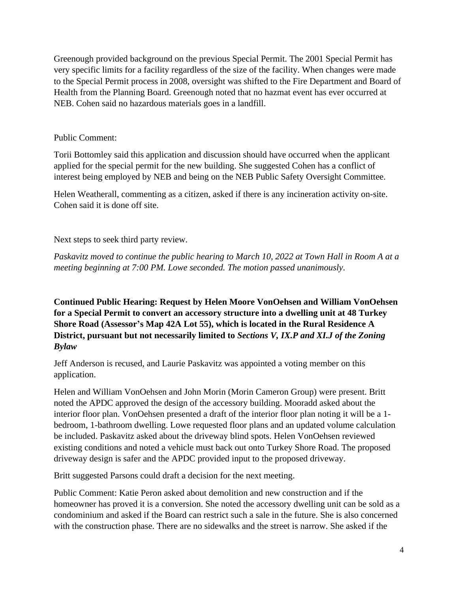Greenough provided background on the previous Special Permit. The 2001 Special Permit has very specific limits for a facility regardless of the size of the facility. When changes were made to the Special Permit process in 2008, oversight was shifted to the Fire Department and Board of Health from the Planning Board. Greenough noted that no hazmat event has ever occurred at NEB. Cohen said no hazardous materials goes in a landfill.

### Public Comment:

Torii Bottomley said this application and discussion should have occurred when the applicant applied for the special permit for the new building. She suggested Cohen has a conflict of interest being employed by NEB and being on the NEB Public Safety Oversight Committee.

Helen Weatherall, commenting as a citizen, asked if there is any incineration activity on-site. Cohen said it is done off site.

Next steps to seek third party review.

*Paskavitz moved to continue the public hearing to March 10, 2022 at Town Hall in Room A at a meeting beginning at 7:00 PM. Lowe seconded. The motion passed unanimously*.

**Continued Public Hearing: Request by Helen Moore VonOehsen and William VonOehsen for a Special Permit to convert an accessory structure into a dwelling unit at 48 Turkey Shore Road (Assessor's Map 42A Lot 55), which is located in the Rural Residence A District, pursuant but not necessarily limited to** *Sections V, IX.P and XI.J of the Zoning Bylaw*

Jeff Anderson is recused, and Laurie Paskavitz was appointed a voting member on this application.

Helen and William VonOehsen and John Morin (Morin Cameron Group) were present. Britt noted the APDC approved the design of the accessory building. Mooradd asked about the interior floor plan. VonOehsen presented a draft of the interior floor plan noting it will be a 1 bedroom, 1-bathroom dwelling. Lowe requested floor plans and an updated volume calculation be included. Paskavitz asked about the driveway blind spots. Helen VonOehsen reviewed existing conditions and noted a vehicle must back out onto Turkey Shore Road. The proposed driveway design is safer and the APDC provided input to the proposed driveway.

Britt suggested Parsons could draft a decision for the next meeting.

Public Comment: Katie Peron asked about demolition and new construction and if the homeowner has proved it is a conversion. She noted the accessory dwelling unit can be sold as a condominium and asked if the Board can restrict such a sale in the future. She is also concerned with the construction phase. There are no sidewalks and the street is narrow. She asked if the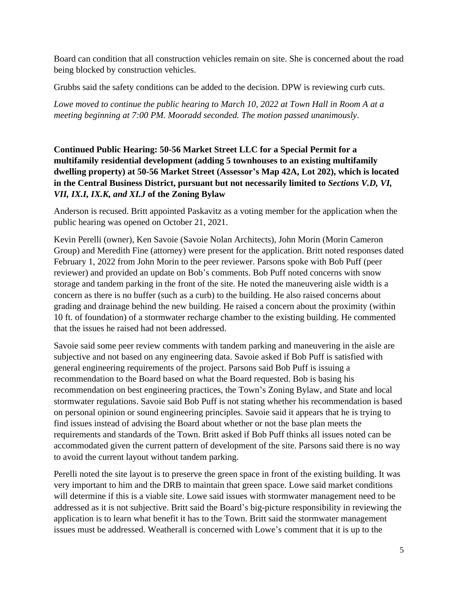Board can condition that all construction vehicles remain on site. She is concerned about the road being blocked by construction vehicles.

Grubbs said the safety conditions can be added to the decision. DPW is reviewing curb cuts.

*Lowe moved to continue the public hearing to March 10, 2022 at Town Hall in Room A at a meeting beginning at 7:00 PM. Mooradd seconded. The motion passed unanimously*.

# **Continued Public Hearing: 50-56 Market Street LLC for a Special Permit for a multifamily residential development (adding 5 townhouses to an existing multifamily dwelling property) at 50-56 Market Street (Assessor's Map 42A, Lot 202), which is located in the Central Business District, pursuant but not necessarily limited to** *Sections V.D, VI, VII, IX.I, IX.K, and XI.J* **of the Zoning Bylaw**

Anderson is recused. Britt appointed Paskavitz as a voting member for the application when the public hearing was opened on October 21, 2021.

Kevin Perelli (owner), Ken Savoie (Savoie Nolan Architects), John Morin (Morin Cameron Group) and Meredith Fine (attorney) were present for the application. Britt noted responses dated February 1, 2022 from John Morin to the peer reviewer. Parsons spoke with Bob Puff (peer reviewer) and provided an update on Bob's comments. Bob Puff noted concerns with snow storage and tandem parking in the front of the site. He noted the maneuvering aisle width is a concern as there is no buffer (such as a curb) to the building. He also raised concerns about grading and drainage behind the new building. He raised a concern about the proximity (within 10 ft. of foundation) of a stormwater recharge chamber to the existing building. He commented that the issues he raised had not been addressed.

Savoie said some peer review comments with tandem parking and maneuvering in the aisle are subjective and not based on any engineering data. Savoie asked if Bob Puff is satisfied with general engineering requirements of the project. Parsons said Bob Puff is issuing a recommendation to the Board based on what the Board requested. Bob is basing his recommendation on best engineering practices, the Town's Zoning Bylaw, and State and local stormwater regulations. Savoie said Bob Puff is not stating whether his recommendation is based on personal opinion or sound engineering principles. Savoie said it appears that he is trying to find issues instead of advising the Board about whether or not the base plan meets the requirements and standards of the Town. Britt asked if Bob Puff thinks all issues noted can be accommodated given the current pattern of development of the site. Parsons said there is no way to avoid the current layout without tandem parking.

Perelli noted the site layout is to preserve the green space in front of the existing building. It was very important to him and the DRB to maintain that green space. Lowe said market conditions will determine if this is a viable site. Lowe said issues with stormwater management need to be addressed as it is not subjective. Britt said the Board's big-picture responsibility in reviewing the application is to learn what benefit it has to the Town. Britt said the stormwater management issues must be addressed. Weatherall is concerned with Lowe's comment that it is up to the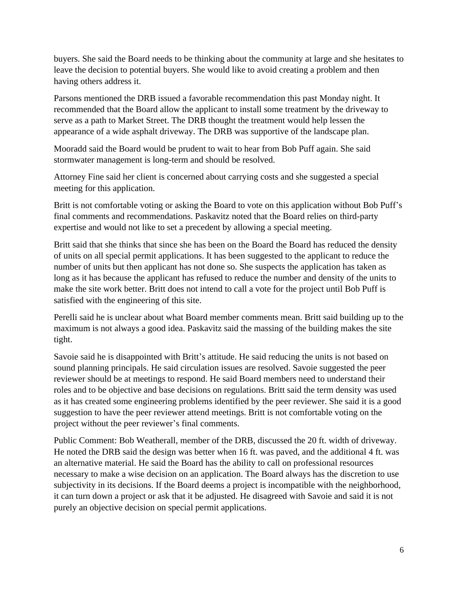buyers. She said the Board needs to be thinking about the community at large and she hesitates to leave the decision to potential buyers. She would like to avoid creating a problem and then having others address it.

Parsons mentioned the DRB issued a favorable recommendation this past Monday night. It recommended that the Board allow the applicant to install some treatment by the driveway to serve as a path to Market Street. The DRB thought the treatment would help lessen the appearance of a wide asphalt driveway. The DRB was supportive of the landscape plan.

Mooradd said the Board would be prudent to wait to hear from Bob Puff again. She said stormwater management is long-term and should be resolved.

Attorney Fine said her client is concerned about carrying costs and she suggested a special meeting for this application.

Britt is not comfortable voting or asking the Board to vote on this application without Bob Puff's final comments and recommendations. Paskavitz noted that the Board relies on third-party expertise and would not like to set a precedent by allowing a special meeting.

Britt said that she thinks that since she has been on the Board the Board has reduced the density of units on all special permit applications. It has been suggested to the applicant to reduce the number of units but then applicant has not done so. She suspects the application has taken as long as it has because the applicant has refused to reduce the number and density of the units to make the site work better. Britt does not intend to call a vote for the project until Bob Puff is satisfied with the engineering of this site.

Perelli said he is unclear about what Board member comments mean. Britt said building up to the maximum is not always a good idea. Paskavitz said the massing of the building makes the site tight.

Savoie said he is disappointed with Britt's attitude. He said reducing the units is not based on sound planning principals. He said circulation issues are resolved. Savoie suggested the peer reviewer should be at meetings to respond. He said Board members need to understand their roles and to be objective and base decisions on regulations. Britt said the term density was used as it has created some engineering problems identified by the peer reviewer. She said it is a good suggestion to have the peer reviewer attend meetings. Britt is not comfortable voting on the project without the peer reviewer's final comments.

Public Comment: Bob Weatherall, member of the DRB, discussed the 20 ft. width of driveway. He noted the DRB said the design was better when 16 ft. was paved, and the additional 4 ft. was an alternative material. He said the Board has the ability to call on professional resources necessary to make a wise decision on an application. The Board always has the discretion to use subjectivity in its decisions. If the Board deems a project is incompatible with the neighborhood, it can turn down a project or ask that it be adjusted. He disagreed with Savoie and said it is not purely an objective decision on special permit applications.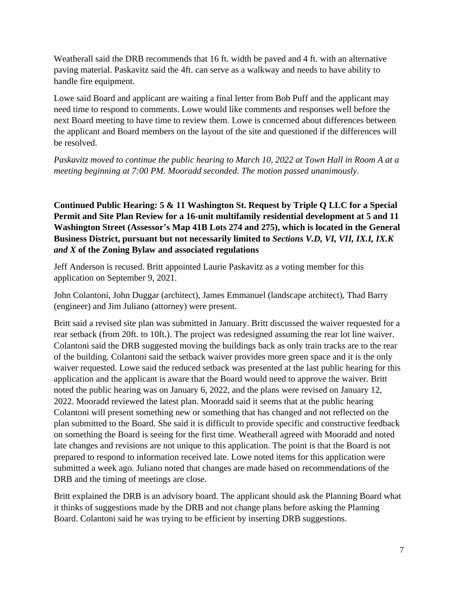Weatherall said the DRB recommends that 16 ft. width be paved and 4 ft. with an alternative paving material. Paskavitz said the 4ft. can serve as a walkway and needs to have ability to handle fire equipment.

Lowe said Board and applicant are waiting a final letter from Bob Puff and the applicant may need time to respond to comments. Lowe would like comments and responses well before the next Board meeting to have time to review them. Lowe is concerned about differences between the applicant and Board members on the layout of the site and questioned if the differences will be resolved.

*Paskavitz moved to continue the public hearing to March 10, 2022 at Town Hall in Room A at a meeting beginning at 7:00 PM. Mooradd seconded. The motion passed unanimously*.

**Continued Public Hearing: 5 & 11 Washington St. Request by Triple Q LLC for a Special Permit and Site Plan Review for a 16-unit multifamily residential development at 5 and 11 Washington Street (Assessor's Map 41B Lots 274 and 275), which is located in the General Business District, pursuant but not necessarily limited to** *Sections V.D, VI, VII, IX.I, IX.K and X* **of the Zoning Bylaw and associated regulations**

Jeff Anderson is recused. Britt appointed Laurie Paskavitz as a voting member for this application on September 9, 2021.

John Colantoni, John Duggar (architect), James Emmanuel (landscape architect), Thad Barry (engineer) and Jim Juliano (attorney) were present.

Britt said a revised site plan was submitted in January. Britt discussed the waiver requested for a rear setback (from 20ft. to 10ft.). The project was redesigned assuming the rear lot line waiver. Colantoni said the DRB suggested moving the buildings back as only train tracks are to the rear of the building. Colantoni said the setback waiver provides more green space and it is the only waiver requested. Lowe said the reduced setback was presented at the last public hearing for this application and the applicant is aware that the Board would need to approve the waiver. Britt noted the public hearing was on January 6, 2022, and the plans were revised on January 12, 2022. Mooradd reviewed the latest plan. Mooradd said it seems that at the public hearing Colantoni will present something new or something that has changed and not reflected on the plan submitted to the Board. She said it is difficult to provide specific and constructive feedback on something the Board is seeing for the first time. Weatherall agreed with Mooradd and noted late changes and revisions are not unique to this application. The point is that the Board is not prepared to respond to information received late. Lowe noted items for this application were submitted a week ago. Juliano noted that changes are made based on recommendations of the DRB and the timing of meetings are close.

Britt explained the DRB is an advisory board. The applicant should ask the Planning Board what it thinks of suggestions made by the DRB and not change plans before asking the Planning Board. Colantoni said he was trying to be efficient by inserting DRB suggestions.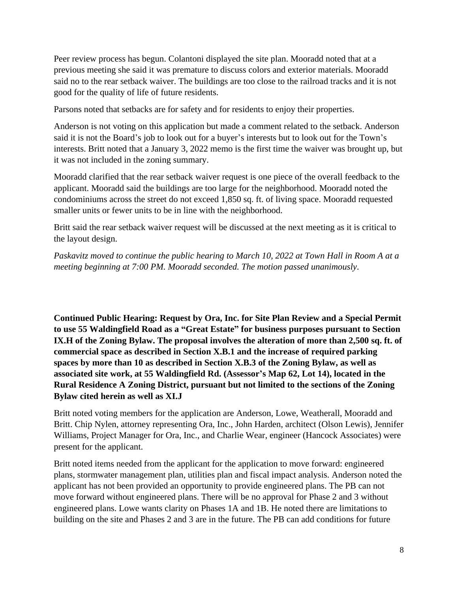Peer review process has begun. Colantoni displayed the site plan. Mooradd noted that at a previous meeting she said it was premature to discuss colors and exterior materials. Mooradd said no to the rear setback waiver. The buildings are too close to the railroad tracks and it is not good for the quality of life of future residents.

Parsons noted that setbacks are for safety and for residents to enjoy their properties.

Anderson is not voting on this application but made a comment related to the setback. Anderson said it is not the Board's job to look out for a buyer's interests but to look out for the Town's interests. Britt noted that a January 3, 2022 memo is the first time the waiver was brought up, but it was not included in the zoning summary.

Mooradd clarified that the rear setback waiver request is one piece of the overall feedback to the applicant. Mooradd said the buildings are too large for the neighborhood. Mooradd noted the condominiums across the street do not exceed 1,850 sq. ft. of living space. Mooradd requested smaller units or fewer units to be in line with the neighborhood.

Britt said the rear setback waiver request will be discussed at the next meeting as it is critical to the layout design.

*Paskavitz moved to continue the public hearing to March 10, 2022 at Town Hall in Room A at a meeting beginning at 7:00 PM. Mooradd seconded. The motion passed unanimously*.

**Continued Public Hearing: Request by Ora, Inc. for Site Plan Review and a Special Permit to use 55 Waldingfield Road as a "Great Estate" for business purposes pursuant to Section IX.H of the Zoning Bylaw. The proposal involves the alteration of more than 2,500 sq. ft. of commercial space as described in Section X.B.1 and the increase of required parking spaces by more than 10 as described in Section X.B.3 of the Zoning Bylaw, as well as associated site work, at 55 Waldingfield Rd. (Assessor's Map 62, Lot 14), located in the Rural Residence A Zoning District, pursuant but not limited to the sections of the Zoning Bylaw cited herein as well as XI.J**

Britt noted voting members for the application are Anderson, Lowe, Weatherall, Mooradd and Britt. Chip Nylen, attorney representing Ora, Inc., John Harden, architect (Olson Lewis), Jennifer Williams, Project Manager for Ora, Inc., and Charlie Wear, engineer (Hancock Associates) were present for the applicant.

Britt noted items needed from the applicant for the application to move forward: engineered plans, stormwater management plan, utilities plan and fiscal impact analysis. Anderson noted the applicant has not been provided an opportunity to provide engineered plans. The PB can not move forward without engineered plans. There will be no approval for Phase 2 and 3 without engineered plans. Lowe wants clarity on Phases 1A and 1B. He noted there are limitations to building on the site and Phases 2 and 3 are in the future. The PB can add conditions for future